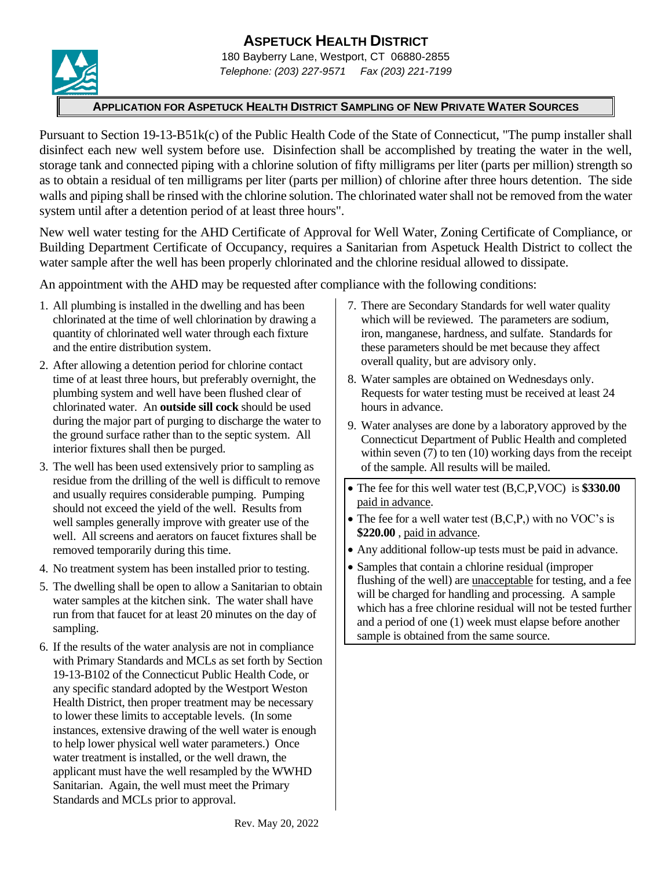# **ASPETUCK HEALTH DISTRICT**



180 Bayberry Lane, Westport, CT 06880-2855 *Telephone: (203) 227-9571 Fax (203) 221-7199*

#### **APPLICATION FOR ASPETUCK HEALTH DISTRICT SAMPLING OF NEW PRIVATE WATER SOURCES**

Pursuant to Section 19-13-B51k(c) of the Public Health Code of the State of Connecticut, "The pump installer shall disinfect each new well system before use. Disinfection shall be accomplished by treating the water in the well, storage tank and connected piping with a chlorine solution of fifty milligrams per liter (parts per million) strength so as to obtain a residual of ten milligrams per liter (parts per million) of chlorine after three hours detention. The side walls and piping shall be rinsed with the chlorine solution. The chlorinated water shall not be removed from the water system until after a detention period of at least three hours".

New well water testing for the AHD Certificate of Approval for Well Water, Zoning Certificate of Compliance, or Building Department Certificate of Occupancy, requires a Sanitarian from Aspetuck Health District to collect the water sample after the well has been properly chlorinated and the chlorine residual allowed to dissipate.

An appointment with the AHD may be requested after compliance with the following conditions:

- 1. All plumbing is installed in the dwelling and has been chlorinated at the time of well chlorination by drawing a quantity of chlorinated well water through each fixture and the entire distribution system.
- 2. After allowing a detention period for chlorine contact time of at least three hours, but preferably overnight, the plumbing system and well have been flushed clear of chlorinated water. An **outside sill cock** should be used during the major part of purging to discharge the water to the ground surface rather than to the septic system. All interior fixtures shall then be purged.
- 3. The well has been used extensively prior to sampling as residue from the drilling of the well is difficult to remove and usually requires considerable pumping. Pumping should not exceed the yield of the well. Results from well samples generally improve with greater use of the well. All screens and aerators on faucet fixtures shall be removed temporarily during this time.
- 4. No treatment system has been installed prior to testing.
- 5. The dwelling shall be open to allow a Sanitarian to obtain water samples at the kitchen sink. The water shall have run from that faucet for at least 20 minutes on the day of sampling.
- 6. If the results of the water analysis are not in compliance with Primary Standards and MCLs as set forth by Section 19-13-B102 of the Connecticut Public Health Code, or any specific standard adopted by the Westport Weston Health District, then proper treatment may be necessary to lower these limits to acceptable levels. (In some instances, extensive drawing of the well water is enough to help lower physical well water parameters.) Once water treatment is installed, or the well drawn, the applicant must have the well resampled by the WWHD Sanitarian. Again, the well must meet the Primary Standards and MCLs prior to approval.
- 7. There are Secondary Standards for well water quality which will be reviewed. The parameters are sodium, iron, manganese, hardness, and sulfate. Standards for these parameters should be met because they affect overall quality, but are advisory only.
- 8. Water samples are obtained on Wednesdays only. Requests for water testing must be received at least 24 hours in advance.
- 9. Water analyses are done by a laboratory approved by the Connecticut Department of Public Health and completed within seven (7) to ten (10) working days from the receipt of the sample. All results will be mailed.
- The fee for this well water test (B,C,P,VOC) is **\$330.00** paid in advance.
- The fee for a well water test (B,C,P,) with no VOC's is **\$220.00** , paid in advance.
- Any additional follow-up tests must be paid in advance.
- Samples that contain a chlorine residual (improper flushing of the well) are unacceptable for testing, and a fee will be charged for handling and processing. A sample which has a free chlorine residual will not be tested further and a period of one (1) week must elapse before another sample is obtained from the same source.